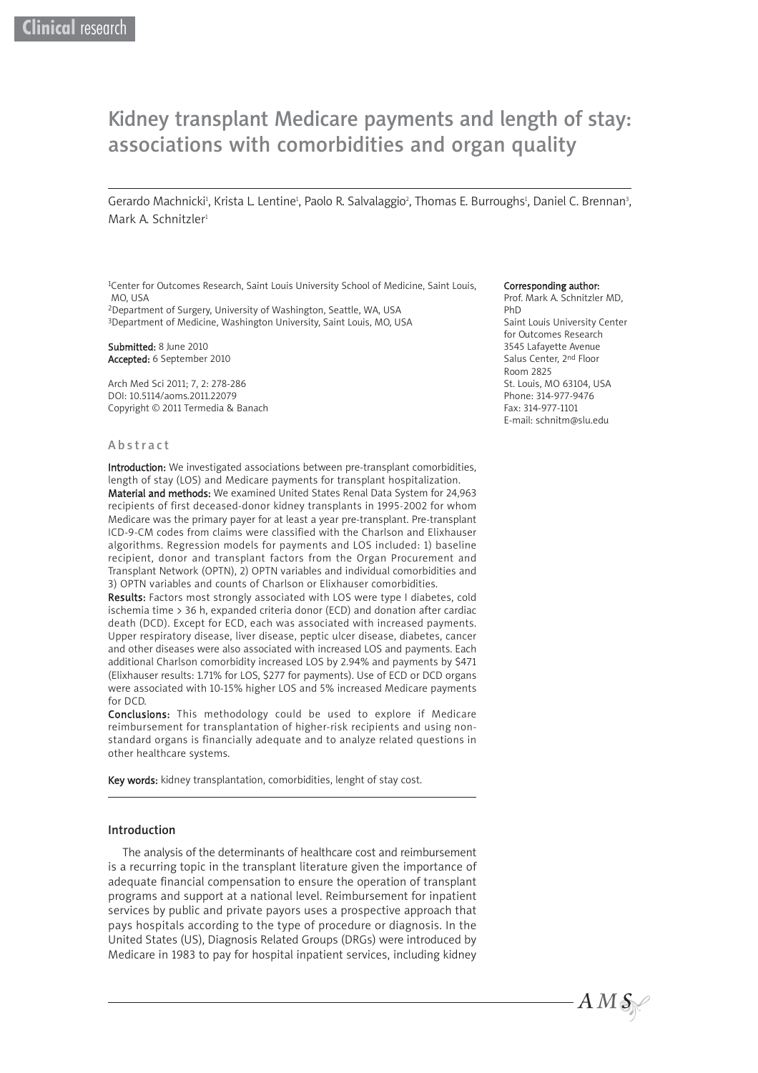# Kidney transplant Medicare payments and length of stay: associations with comorbidities and organ quality

Gerardo Machnicki<sup>ı</sup>, Krista L. Lentine<sup>ı</sup>, Paolo R. Salvalaggio<sup>2</sup>, Thomas E. Burroughs<sup>ı</sup>, Daniel C. Brennan<sup>3</sup>, Mark A Schnitzler<sup>1</sup>

<sup>1</sup>Center for Outcomes Research, Saint Louis University School of Medicine, Saint Louis, MO, USA

2Department of Surgery, University of Washington, Seattle, WA, USA 3Department of Medicine, Washington University, Saint Louis, MO, USA

Submitted: 8 June 2010 Accepted: 6 September 2010

Arch Med Sci 2011; 7, 2: 278-286 DOI: 10.5114/aoms.2011.22079 Copyright © 2011 Termedia & Banach

#### Abstract

Introduction: We investigated associations between pre-transplant comorbidities, length of stay (LOS) and Medicare payments for transplant hospitalization. Material and methods: We examined United States Renal Data System for 24,963 recipients of first deceased-donor kidney transplants in 1995-2002 for whom Medicare was the primary payer for at least a year pre-transplant. Pre-transplant ICD-9-CM codes from claims were classified with the Charlson and Elixhauser algorithms. Regression models for payments and LOS included: 1) baseline recipient, donor and transplant factors from the Organ Procurement and Transplant Network (OPTN), 2) OPTN variables and individual comorbidities and 3) OPTN variables and counts of Charlson or Elixhauser comorbidities.

Results: Factors most strongly associated with LOS were type I diabetes, cold ischemia time > 36 h, expanded criteria donor (ECD) and donation after cardiac death (DCD). Except for ECD, each was associated with increased payments. Upper respiratory disease, liver disease, peptic ulcer disease, diabetes, cancer and other diseases were also associated with increased LOS and payments. Each additional Charlson comorbidity increased LOS by 2.94% and payments by \$471 (Elixhauser results: 1.71% for LOS, \$277 for payments). Use of ECD or DCD organs were associated with 10-15% higher LOS and 5% increased Medicare payments for DCD.

Conclusions: This methodology could be used to explore if Medicare reimbursement for transplantation of higher-risk recipients and using nonstandard organs is financially adequate and to analyze related questions in other healthcare systems.

Key words: kidney transplantation, comorbidities, lenght of stay cost.

#### Introduction

The analysis of the determinants of healthcare cost and reimbursement is a recurring topic in the transplant literature given the importance of adequate financial compensation to ensure the operation of transplant programs and support at a national level. Reimbursement for inpatient services by public and private payors uses a prospective approach that pays hospitals according to the type of procedure or diagnosis. In the United States (US), Diagnosis Related Groups (DRGs) were introduced by Medicare in 1983 to pay for hospital inpatient services, including kidney

#### Corresponding author:

Prof. Mark A. Schnitzler MD, PhD Saint Louis University Center for Outcomes Research 3545 Lafayette Avenue Salus Center, 2nd Floor Room 2825 St. Louis, MO 63104, USA Phone: 314-977-9476 Fax: 314-977-1101 E-mail: schnitm@slu.edu

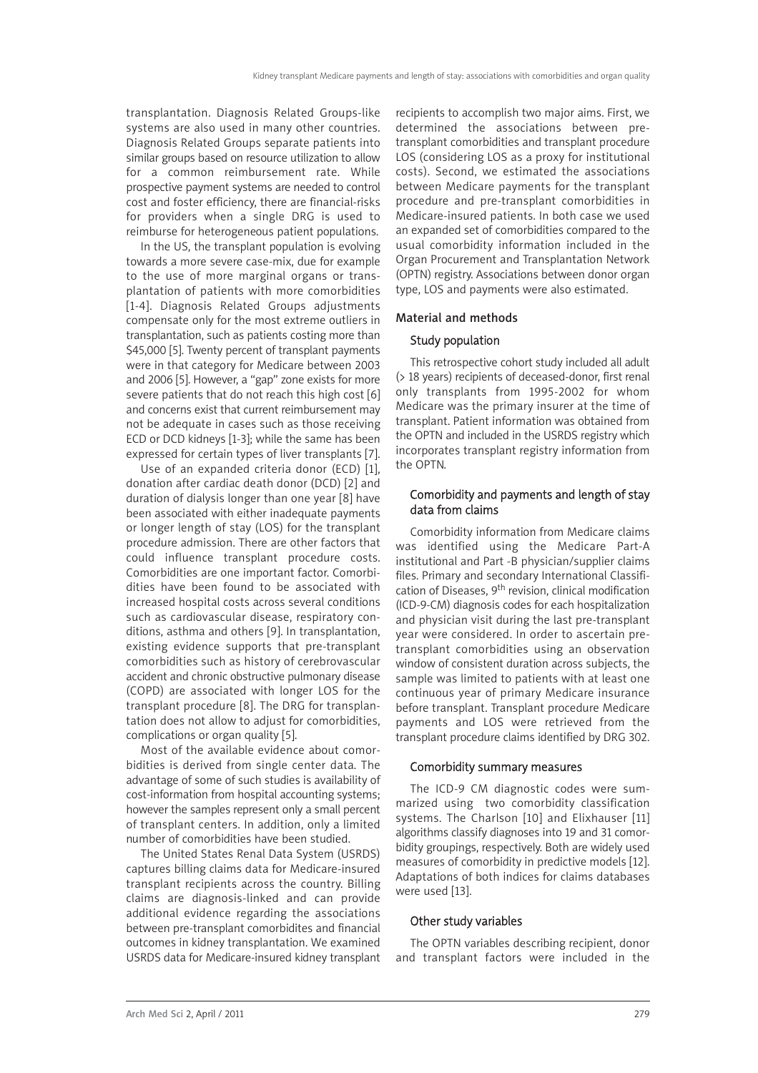transplantation. Diagnosis Related Groups-like systems are also used in many other countries. Diagnosis Related Groups separate patients into similar groups based on resource utilization to allow for a common reimbursement rate. While prospective payment systems are needed to control cost and foster efficiency, there are financial-risks for providers when a single DRG is used to reimburse for heterogeneous patient populations.

In the US, the transplant population is evolving towards a more severe case-mix, due for example to the use of more marginal organs or transplantation of patients with more comorbidities [1-4]. Diagnosis Related Groups adjustments compensate only for the most extreme outliers in transplantation, such as patients costing more than \$45,000 [5]. Twenty percent of transplant payments were in that category for Medicare between 2003 and 2006 [5]. However, a "gap" zone exists for more severe patients that do not reach this high cost [6] and concerns exist that current reimbursement may not be adequate in cases such as those receiving ECD or DCD kidneys [1-3]; while the same has been expressed for certain types of liver transplants [7].

Use of an expanded criteria donor (ECD) [1], donation after cardiac death donor (DCD) [2] and duration of dialysis longer than one year [8] have been associated with either inadequate payments or longer length of stay (LOS) for the transplant procedure admission. There are other factors that could influence transplant procedure costs. Comorbidities are one important factor. Comorbidities have been found to be associated with increased hospital costs across several conditions such as cardiovascular disease, respiratory conditions, asthma and others [9]. In transplantation, existing evidence supports that pre-transplant comorbidities such as history of cerebrovascular accident and chronic obstructive pulmonary disease (COPD) are associated with longer LOS for the transplant procedure [8]. The DRG for transplantation does not allow to adjust for comorbidities, complications or organ quality [5].

Most of the available evidence about comorbidities is derived from single center data. The advantage of some of such studies is availability of cost-information from hospital accounting systems; however the samples represent only a small percent of transplant centers. In addition, only a limited number of comorbidities have been studied.

The United States Renal Data System (USRDS) captures billing claims data for Medicare-insured transplant recipients across the country. Billing claims are diagnosis-linked and can provide additional evidence regarding the associations between pre-transplant comorbidites and financial outcomes in kidney transplantation. We examined USRDS data for Medicare-insured kidney transplant recipients to accomplish two major aims. First, we determined the associations between pretransplant comorbidities and transplant procedure LOS (considering LOS as a proxy for institutional costs). Second, we estimated the associations between Medicare payments for the transplant procedure and pre-transplant comorbidities in Medicare-insured patients. In both case we used an expanded set of comorbidities compared to the usual comorbidity information included in the Organ Procurement and Transplantation Network (OPTN) registry. Associations between donor organ type, LOS and payments were also estimated.

# Material and methods

# Study population

This retrospective cohort study included all adult (> 18 years) recipients of deceased-donor, first renal only transplants from 1995-2002 for whom Medicare was the primary insurer at the time of transplant. Patient information was obtained from the OPTN and included in the USRDS registry which incorporates transplant registry information from the OPTN.

# Comorbidity and payments and length of stay data from claims

Comorbidity information from Medicare claims was identified using the Medicare Part-A institutional and Part -B physician/supplier claims files. Primary and secondary International Classification of Diseases, 9th revision, clinical modification (ICD-9-CM) diagnosis codes for each hospitalization and physician visit during the last pre-transplant year were considered. In order to ascertain pretransplant comorbidities using an observation window of consistent duration across subjects, the sample was limited to patients with at least one continuous year of primary Medicare insurance before transplant. Transplant procedure Medicare payments and LOS were retrieved from the transplant procedure claims identified by DRG 302.

## Comorbidity summary measures

The ICD-9 CM diagnostic codes were summarized using two comorbidity classification systems. The Charlson [10] and Elixhauser [11] algorithms classify diagnoses into 19 and 31 comorbidity groupings, respectively. Both are widely used measures of comorbidity in predictive models [12]. Adaptations of both indices for claims databases were used [13].

## Other study variables

The OPTN variables describing recipient, donor and transplant factors were included in the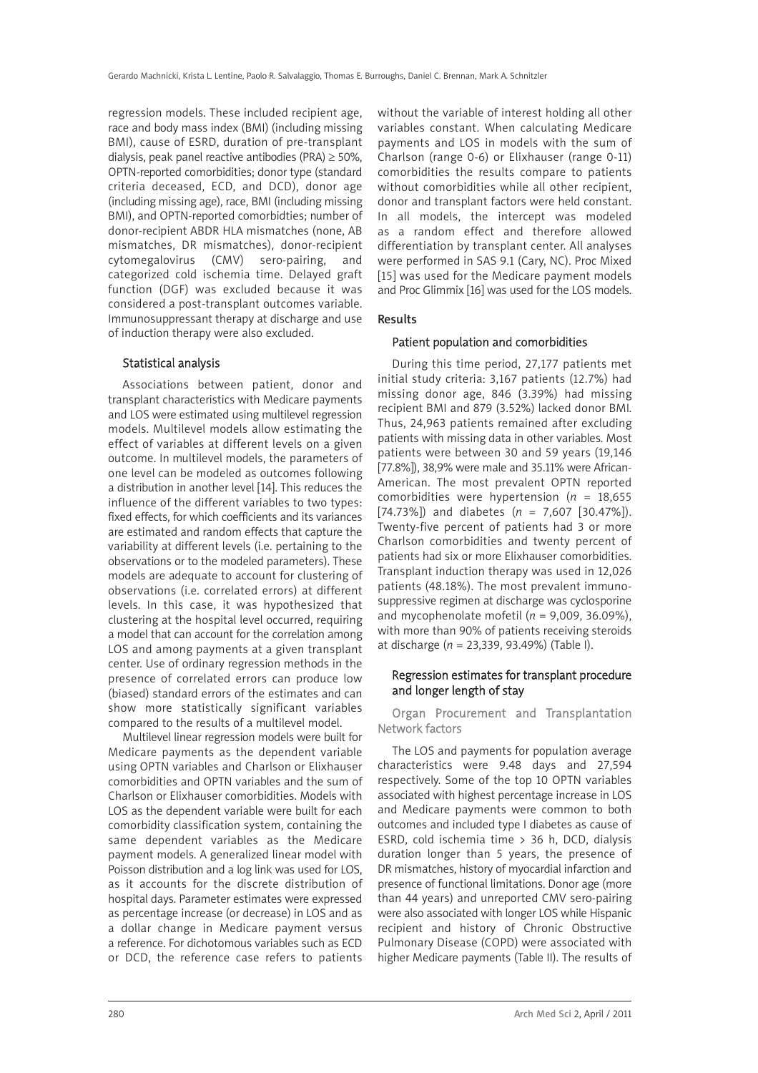regression models. These included recipient age, race and body mass index (BMI) (including missing BMI), cause of ESRD, duration of pre-transplant dialysis, peak panel reactive antibodies (PRA)  $\geq$  50%, OPTN-reported comorbidities; donor type (standard criteria deceased, ECD, and DCD), donor age (including missing age), race, BMI (including missing BMI), and OPTN-reported comorbidties; number of donor-recipient ABDR HLA mismatches (none, AB mismatches, DR mismatches), donor-recipient cytomegalovirus (CMV) sero-pairing, and categorized cold ischemia time. Delayed graft function (DGF) was excluded because it was considered a post-transplant outcomes variable. Immunosuppressant therapy at discharge and use of induction therapy were also excluded.

# Statistical analysis

Associations between patient, donor and transplant characteristics with Medicare payments and LOS were estimated using multilevel regression models. Multilevel models allow estimating the effect of variables at different levels on a given outcome. In multilevel models, the parameters of one level can be modeled as outcomes following a distribution in another level [14]. This reduces the influence of the different variables to two types: fixed effects, for which coefficients and its variances are estimated and random effects that capture the variability at different levels (i.e. pertaining to the observations or to the modeled parameters). These models are adequate to account for clustering of observations (i.e. correlated errors) at different levels. In this case, it was hypothesized that clustering at the hospital level occurred, requiring a model that can account for the correlation among LOS and among payments at a given transplant center. Use of ordinary regression methods in the presence of correlated errors can produce low (biased) standard errors of the estimates and can show more statistically significant variables compared to the results of a multilevel model.

Multilevel linear regression models were built for Medicare payments as the dependent variable using OPTN variables and Charlson or Elixhauser comorbidities and OPTN variables and the sum of Charlson or Elixhauser comorbidities. Models with LOS as the dependent variable were built for each comorbidity classification system, containing the same dependent variables as the Medicare payment models. A generalized linear model with Poisson distribution and a log link was used for LOS, as it accounts for the discrete distribution of hospital days. Parameter estimates were expressed as percentage increase (or decrease) in LOS and as a dollar change in Medicare payment versus a reference. For dichotomous variables such as ECD or DCD, the reference case refers to patients without the variable of interest holding all other variables constant. When calculating Medicare payments and LOS in models with the sum of Charlson (range 0-6) or Elixhauser (range 0-11) comorbidities the results compare to patients without comorbidities while all other recipient, donor and transplant factors were held constant. In all models, the intercept was modeled as a random effect and therefore allowed differentiation by transplant center. All analyses were performed in SAS 9.1 (Cary, NC). Proc Mixed [15] was used for the Medicare payment models and Proc Glimmix [16] was used for the LOS models.

# Results

## Patient population and comorbidities

During this time period, 27,177 patients met initial study criteria: 3,167 patients (12.7%) had missing donor age, 846 (3.39%) had missing recipient BMI and 879 (3.52%) lacked donor BMI. Thus, 24,963 patients remained after excluding patients with missing data in other variables. Most patients were between 30 and 59 years (19,146 [77.8%]), 38,9% were male and 35.11% were African-American. The most prevalent OPTN reported comorbidities were hypertension (*n* = 18,655 [74.73%]) and diabetes (*n* = 7,607 [30.47%]). Twenty-five percent of patients had 3 or more Charlson comorbidities and twenty percent of patients had six or more Elixhauser comorbidities. Transplant induction therapy was used in 12,026 patients (48.18%). The most prevalent immunosuppressive regimen at discharge was cyclosporine and mycophenolate mofetil  $(n = 9,009, 36.09\%)$ , with more than 90% of patients receiving steroids at discharge (*n* = 23,339, 93.49%) (Table I).

## Regression estimates for transplant procedure and longer length of stay

Organ Procurement and Transplantation Network factors

The LOS and payments for population average characteristics were 9.48 days and 27,594 respectively. Some of the top 10 OPTN variables associated with highest percentage increase in LOS and Medicare payments were common to both outcomes and included type I diabetes as cause of ESRD, cold ischemia time > 36 h, DCD, dialysis duration longer than 5 years, the presence of DR mismatches, history of myocardial infarction and presence of functional limitations. Donor age (more than 44 years) and unreported CMV sero-pairing were also associated with longer LOS while Hispanic recipient and history of Chronic Obstructive Pulmonary Disease (COPD) were associated with higher Medicare payments (Table II). The results of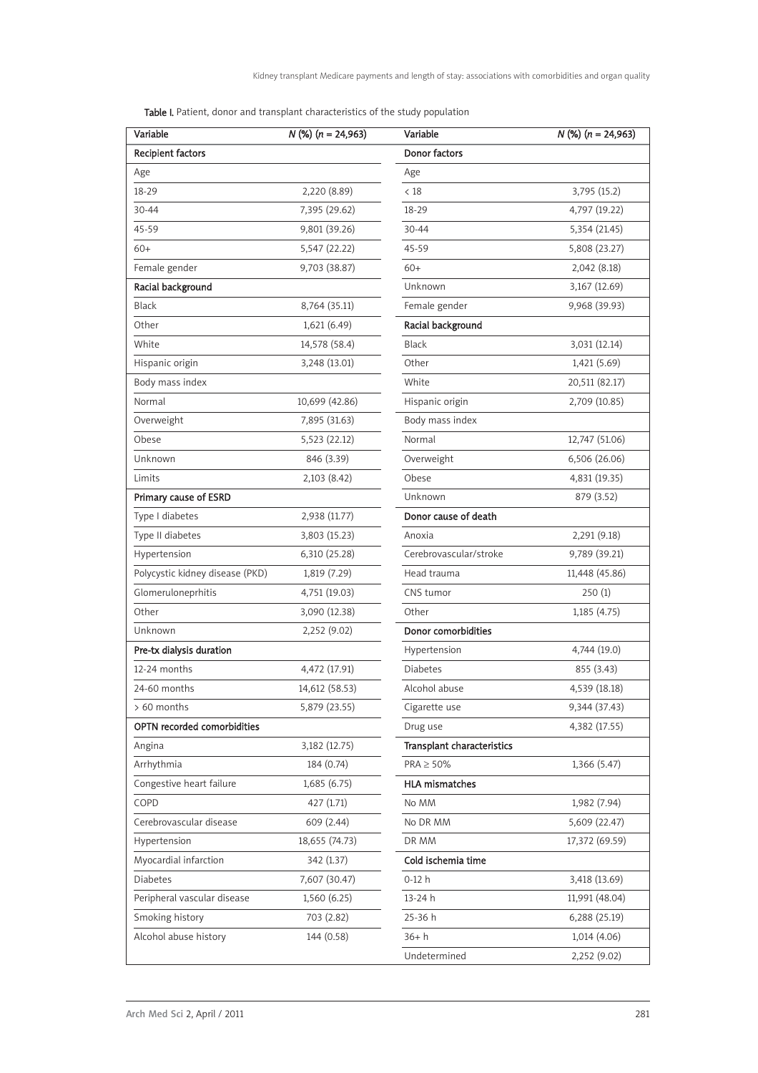Table I. Patient, donor and transplant characteristics of the study population

| Variable                        | $N$ (%) $(n = 24,963)$ | Variable                   | $N$ (%) $(n = 24,963)$ |
|---------------------------------|------------------------|----------------------------|------------------------|
| <b>Recipient factors</b>        |                        | Donor factors              |                        |
| Age                             |                        | Age                        |                        |
| 18-29                           | 2,220 (8.89)           | < 18                       | 3,795 (15.2)           |
| $30 - 44$                       | 7,395 (29.62)          | 18-29                      | 4,797 (19.22)          |
| 45-59                           | 9,801 (39.26)          | 30-44                      | 5,354 (21.45)          |
| $60+$                           | 5,547 (22.22)          | 45-59                      | 5,808 (23.27)          |
| Female gender                   | 9,703 (38.87)          | $60+$                      | 2,042 (8.18)           |
| Racial background               |                        | Unknown                    | 3,167 (12.69)          |
| <b>Black</b>                    | 8,764 (35.11)          | Female gender              | 9,968 (39.93)          |
| Other                           | 1,621(6.49)            | Racial background          |                        |
| White                           | 14,578 (58.4)          | <b>Black</b>               | 3,031 (12.14)          |
| Hispanic origin                 | 3,248 (13.01)          | Other                      | 1,421 (5.69)           |
| Body mass index                 |                        | White                      | 20,511 (82.17)         |
| Normal                          | 10,699 (42.86)         | Hispanic origin            | 2,709 (10.85)          |
| Overweight                      | 7,895 (31.63)          | Body mass index            |                        |
| Obese                           | 5,523 (22.12)          | Normal                     | 12,747 (51.06)         |
| Unknown                         | 846 (3.39)             | Overweight                 | 6,506 (26.06)          |
| Limits                          | 2,103 (8.42)           | Obese                      | 4,831 (19.35)          |
| Primary cause of ESRD           |                        | Unknown                    | 879 (3.52)             |
| Type I diabetes                 | 2,938 (11.77)          | Donor cause of death       |                        |
| Type II diabetes                | 3,803 (15.23)          | Anoxia                     | 2,291 (9.18)           |
| Hypertension                    | 6,310 (25.28)          | Cerebrovascular/stroke     | 9,789 (39.21)          |
| Polycystic kidney disease (PKD) | 1,819 (7.29)           | Head trauma                | 11,448 (45.86)         |
| Glomeruloneprhitis              | 4,751 (19.03)          | CNS tumor                  | 250(1)                 |
| Other                           | 3,090 (12.38)          | Other                      | 1,185(4.75)            |
| Unknown                         | 2,252 (9.02)           | Donor comorbidities        |                        |
| Pre-tx dialysis duration        |                        | Hypertension               | 4,744 (19.0)           |
| 12-24 months                    | 4,472 (17.91)          | <b>Diabetes</b>            | 855 (3.43)             |
| 24-60 months                    | 14,612 (58.53)         | Alcohol abuse              | 4,539 (18.18)          |
| > 60 months                     | 5,879 (23.55)          | Cigarette use              | 9,344 (37.43)          |
| OPTN recorded comorbidities     |                        | Drug use                   | 4,382 (17.55)          |
| Angina                          | 3,182 (12.75)          | Transplant characteristics |                        |
| Arrhythmia                      | 184 (0.74)             | $PRA \ge 50\%$             | 1,366 (5.47)           |
| Congestive heart failure        | 1,685(6.75)            | HLA mismatches             |                        |
| COPD                            | 427 (1.71)             | No MM                      | 1,982 (7.94)           |
| Cerebrovascular disease         | 609 (2.44)             | No DR MM                   | 5,609 (22.47)          |
| Hypertension                    | 18,655 (74.73)         | DR MM                      | 17,372 (69.59)         |
| Myocardial infarction           | 342 (1.37)             | Cold ischemia time         |                        |
| Diabetes                        | 7,607 (30.47)          | $0-12$ h                   | 3,418 (13.69)          |
| Peripheral vascular disease     | 1,560 (6.25)           | 13-24 h                    | 11,991 (48.04)         |
| Smoking history                 | 703 (2.82)             | 25-36 h                    | 6,288 (25.19)          |
| Alcohol abuse history           | 144 (0.58)             | $36 + h$                   | 1,014(4.06)            |
|                                 |                        | Undetermined               | 2,252 (9.02)           |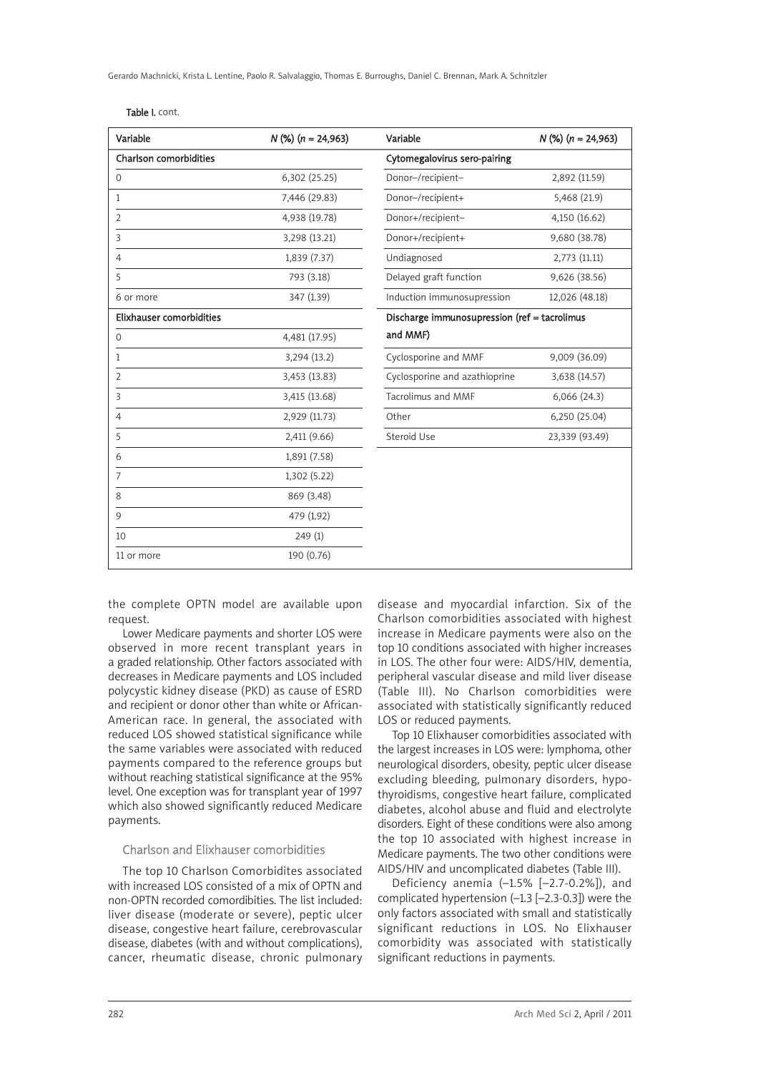| Variable                 | $N$ (%) $(n = 24,963)$ | Variable                                     | $N$ (%) $(n = 24,963)$ |
|--------------------------|------------------------|----------------------------------------------|------------------------|
| Charlson comorbidities   |                        | Cytomegalovirus sero-pairing                 |                        |
| 0                        | 6,302 (25.25)          | Donor-/recipient-                            | 2,892 (11.59)          |
| 1                        | 7,446 (29.83)          | Donor-/recipient+                            | 5,468 (21.9)           |
| 2                        | 4,938 (19.78)          | Donor+/recipient-                            | 4,150 (16.62)          |
| 3                        | 3,298 (13.21)          | Donor+/recipient+                            | 9,680 (38.78)          |
| 4                        | 1,839 (7.37)           | Undiagnosed                                  | 2,773 (11.11)          |
| 5                        | 793 (3.18)             | Delayed graft function                       | 9,626 (38.56)          |
| 6 or more                | 347 (1.39)             | Induction immunosupression                   | 12,026 (48.18)         |
| Elixhauser comorbidities |                        | Discharge immunosupression (ref = tacrolimus |                        |
| $\Omega$                 | 4,481 (17.95)          | and MMF)                                     |                        |
| 1                        | 3,294 (13.2)           | Cyclosporine and MMF                         | 9,009 (36.09)          |
| 2                        | 3,453 (13.83)          | Cyclosporine and azathioprine                | 3,638 (14.57)          |
| 3                        | 3,415 (13.68)          | <b>Tacrolimus and MMF</b>                    | 6,066(24.3)            |
| 4                        | 2,929 (11.73)          | Other                                        | 6,250 (25.04)          |
| 5                        | 2,411 (9.66)           | Steroid Use                                  | 23,339 (93.49)         |
| 6                        | 1,891 (7.58)           |                                              |                        |
| 7                        | 1,302 (5.22)           |                                              |                        |
| 8                        | 869 (3.48)             |                                              |                        |
| 9                        | 479 (1.92)             |                                              |                        |
| 10                       | 249(1)                 |                                              |                        |
| 11 or more               | 190 (0.76)             |                                              |                        |

#### Table I. cont.

the complete OPTN model are available upon request.

Lower Medicare payments and shorter LOS were observed in more recent transplant years in a graded relationship. Other factors associated with decreases in Medicare payments and LOS included polycystic kidney disease (PKD) as cause of ESRD and recipient or donor other than white or African-American race. In general, the associated with reduced LOS showed statistical significance while the same variables were associated with reduced payments compared to the reference groups but without reaching statistical significance at the 95% level. One exception was for transplant year of 1997 which also showed significantly reduced Medicare payments.

#### Charlson and Elixhauser comorbidities

The top 10 Charlson Comorbidites associated with increased LOS consisted of a mix of OPTN and non-OPTN recorded comordibities. The list included: liver disease (moderate or severe), peptic ulcer disease, congestive heart failure, cerebrovascular disease, diabetes (with and without complications), cancer, rheumatic disease, chronic pulmonary disease and myocardial infarction. Six of the Charlson comorbidities associated with highest increase in Medicare payments were also on the top 10 conditions associated with higher increases in LOS. The other four were: AIDS/HIV, dementia, peripheral vascular disease and mild liver disease (Table III). No Charlson comorbidities were associated with statistically significantly reduced LOS or reduced payments.

Top 10 Elixhauser comorbidities associated with the largest increases in LOS were: lymphoma, other neurological disorders, obesity, peptic ulcer disease excluding bleeding, pulmonary disorders, hypothyroidisms, congestive heart failure, complicated diabetes, alcohol abuse and fluid and electrolyte disorders. Eight of these conditions were also among the top 10 associated with highest increase in Medicare payments. The two other conditions were AIDS/HIV and uncomplicated diabetes (Table III).

Deficiency anemia (–1.5% [–2.7-0.2%]), and complicated hypertension (–1.3 [–2.3-0.3]) were the only factors associated with small and statistically significant reductions in LOS. No Elixhauser comorbidity was associated with statistically significant reductions in payments.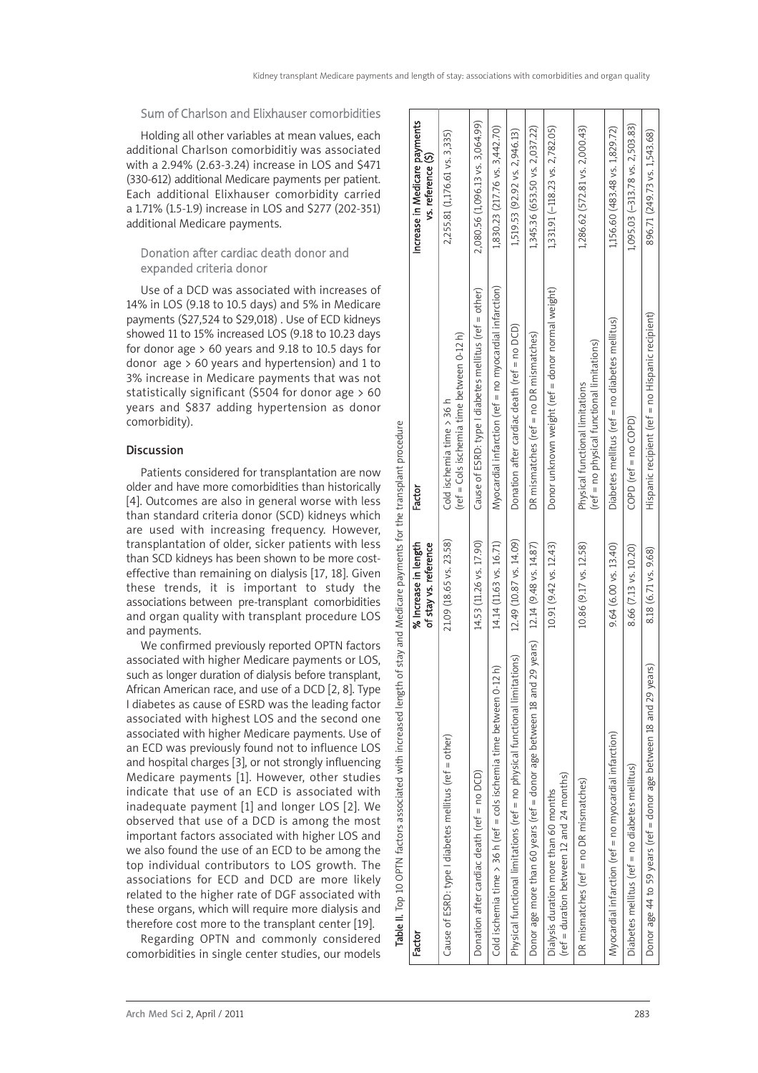┱ ┱

#### Sum of Charlson and Elixhauser comorbidities

Holding all other variables at mean values, each additional Charlson comorbiditiy was associated with a 2.94% (2.63-3.24) increase in LOS and \$471 (330-612) additional Medicare payments per patient. Each additional Elixhauser comorbidity carried a 1.71% (1.5-1.9) increase in LOS and \$277 (202-351) additional Medicare payments.

#### Donation after cardiac death donor and expanded criteria donor

Use of a DCD was associated with increases of 14% in LOS (9.18 to 10.5 days) and 5% in Medicare payments (\$27,524 to \$29,018) . Use of ECD kidneys showed 11 to 15% increased LOS (9.18 to 10.23 days for donor age > 60 years and 9.18 to 10.5 days for donor age > 60 years and hypertension) and 1 to 3% increase in Medicare payments that was not statistically significant (\$504 for donor age > 60 years and \$837 adding hypertension as donor comorbidity).

#### **Discussion**

Patients considered for transplantation are now older and have more comorbidities than historically [4]. Outcomes are also in general worse with less than standard criteria donor (SCD) kidneys which are used with increasing frequency. However, transplantation of older, sicker patients with less than SCD kidneys has been shown to be more costeffective than remaining on dialysis [17, 18]. Given these trends, it is important to study the associations between pre-transplant comorbidities and organ quality with transplant procedure LOS and payments.

We confirmed previously reported OPTN factors associated with higher Medicare payments or LOS, such as longer duration of dialysis before transplant, African American race, and use of a DCD [2, 8]. Type I diabetes as cause of ESRD was the leading factor associated with highest LOS and the second one associated with higher Medicare payments. Use of an ECD was previously found not to influence LOS and hospital charges [3], or not strongly influencing Medicare payments [1]. However, other studies indicate that use of an ECD is associated with inadequate payment [1] and longer LOS [2]. We observed that use of a DCD is among the most important factors associated with higher LOS and we also found the use of an ECD to be among the top individual contributors to LOS growth. The associations for ECD and DCD are more likely related to the higher rate of DGF associated with these organs, which will require more dialysis and therefore cost more to the transplant center [19].

Regarding OPTN and commonly considered comorbidities in single center studies, our models

| Table II. Top 10 OPTN factors associated with increased length of stay and Medicare payments for the transplant procedure |                                               |                                                                                        |                                                    |
|---------------------------------------------------------------------------------------------------------------------------|-----------------------------------------------|----------------------------------------------------------------------------------------|----------------------------------------------------|
| Factor                                                                                                                    | % Increase in length<br>of stay vs. reference | Factor                                                                                 | Increase in Medicare payments<br>vs. reference (S) |
| Cause of ESRD: type I diabetes mellitus (ref = other)                                                                     | 21.09 (18.65 vs. 23.58)                       | $(\text{ref} = \text{Cols}$ ischemia time between 0-12 h)<br>Cold ischemia time > 36 h | 2,255.81 (1,176.61 vs. 3,335)                      |
| Donation after cardiac death (ref = no DCD)                                                                               | 14.53 (11.26 vs. 17.90)                       | Cause of ESRD: type I diabetes mellitus (ref = other)                                  | 2,080.56 (1,096.13 vs. 3,064.99)                   |
| Cold ischemia time > 36 h (ref = cols ischemia time between 0-12 h)                                                       | 14.14 (11.63 vs. 16.71)                       | Myocardial infarction (ref = no myocardial infarction)                                 | 1,830.23 (217.76 vs. 3,442.70)                     |
| Physical functional limitations (ref = no physical functional limitations)                                                | 12.49 (10.87 vs. 14.09)                       | Donation after cardiac death (ref = no DCD)                                            | 1,519.53 (92.92 vs. 2,946.13)                      |
| id 29 years)<br>Donor age more than 60 years (ref = donor age between 18 an                                               | 12.14 (9.48 vs. 14.87)                        | DR mismatches (ref = no DR mismatches)                                                 | 1,345.36 (653.50 vs. 2,037.22)                     |
| (ref = duration between 12 and 24 months)<br>Dialysis duration more than 60 months                                        | 10.91 (9.42 vs. 12.43)                        | Donor unknown weight (ref = donor normal weight)                                       | 1,331.91 (-118.23 vs. 2,782.05)                    |
| DR mismatches (ref = no DR mismatches)                                                                                    | 10.86 (9.17 vs. 12.58)                        | (ref = no physical functional limitations)<br>Physical functional limitations          | 1,286.62 (572.81 vs. 2,000.43)                     |
| Myocardial infarction (ref = no myocardial infarction)                                                                    | 9.64 (6.00 vs. 13.40)                         | Diabetes mellitus (ref = no diabetes mellitus)                                         | 1,156.60 (483.48 vs. 1,829.72)                     |
| Diabetes mellitus (ref = no diabetes mellitus)                                                                            | 8.66 (7.13 vs. 10.20)                         | $COPD$ (ref = no $COPD$ )                                                              | 1,095.03 (-313.78 vs. 2,503.83)                    |
| years)<br>Donor age 44 to 59 years (ref = donor age between 18 and 29                                                     | 8.18 (6.71 vs. 9.68)                          | Hispanic recipient (ref = no Hispanic recipient)                                       | 896.71 (249.73 vs. 1,543.68)                       |
|                                                                                                                           |                                               |                                                                                        |                                                    |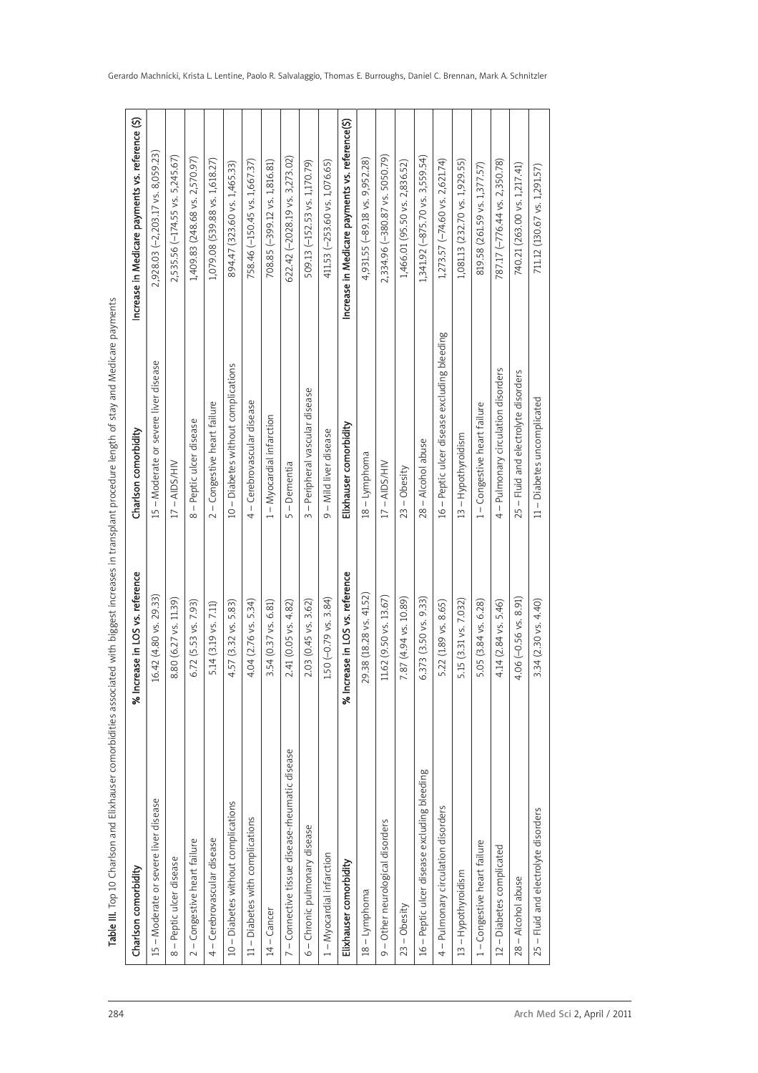| ļ                             |  |
|-------------------------------|--|
|                               |  |
|                               |  |
| Í                             |  |
| ć                             |  |
|                               |  |
|                               |  |
|                               |  |
|                               |  |
|                               |  |
| ś<br>Ì                        |  |
|                               |  |
| Ξ                             |  |
|                               |  |
|                               |  |
|                               |  |
| ⊇                             |  |
|                               |  |
|                               |  |
|                               |  |
| ׇ֚֘                           |  |
| i<br>١                        |  |
|                               |  |
| ï                             |  |
|                               |  |
|                               |  |
| į<br>١<br>j<br>֡֡֡            |  |
| Ś<br>$\vdots$                 |  |
|                               |  |
|                               |  |
| Ş                             |  |
| ī<br>١                        |  |
|                               |  |
|                               |  |
| rorei                         |  |
| ļ                             |  |
|                               |  |
| ı                             |  |
| उ<br>ć                        |  |
| i                             |  |
| Í                             |  |
| $\frac{1}{2}$<br>ć            |  |
| Í<br>Ó                        |  |
| š                             |  |
|                               |  |
|                               |  |
| j                             |  |
| ě<br>į                        |  |
| ŭ                             |  |
| 1<br>I                        |  |
| i                             |  |
|                               |  |
| ļ                             |  |
| ı                             |  |
| ֖֦֦֚֚֚֚֚֚֚֡֕֝֬֝<br>ì<br>j     |  |
| j                             |  |
| $\mathbf{S}$<br>Ì<br>Ÿ        |  |
| ă                             |  |
|                               |  |
| Ξ                             |  |
|                               |  |
|                               |  |
| ŝ                             |  |
| ١                             |  |
| ã                             |  |
|                               |  |
|                               |  |
| $\frac{1}{3}$<br>j            |  |
| ١                             |  |
| C C                           |  |
| Ó                             |  |
|                               |  |
| ı<br>۱                        |  |
|                               |  |
|                               |  |
|                               |  |
| í                             |  |
| ĭ                             |  |
| å                             |  |
| ï<br>١                        |  |
|                               |  |
| l                             |  |
|                               |  |
|                               |  |
| ۱                             |  |
|                               |  |
| ֠                             |  |
|                               |  |
| i                             |  |
|                               |  |
| ¢<br>ŕ                        |  |
|                               |  |
|                               |  |
| ć                             |  |
| I<br>$\overline{\phantom{a}}$ |  |
| ,                             |  |
| d                             |  |
| ï                             |  |
| l                             |  |
| l                             |  |
|                               |  |
| ŗ<br>١                        |  |
| ļ                             |  |
|                               |  |
| $\vdots$                      |  |
|                               |  |
| g                             |  |
| $\frac{1}{2}$<br>i<br>ī<br>۱  |  |

| Charlson comorbidity                                                                    | rease in LOS vs. reference<br>% Incr | Charlson comorbidity                                        | Increase in Medicare payments vs. reference (\$) |
|-----------------------------------------------------------------------------------------|--------------------------------------|-------------------------------------------------------------|--------------------------------------------------|
| - Moderate or severe liver disease<br>15                                                | l6.42 (4.80 vs. 29.33)               | - Moderate or severe liver disease<br>$\overline{15}$       | 2,928.03 (-2,203.17 vs. 8,059.23)                |
| Peptic ulcer disease<br>$\mathsf I$<br>$\infty$                                         | 8.80 (6.27 vs. 11.39)                | $17 - AIDS/HW$                                              | 2,535.56 (-174.55 vs. 5,245.67)                  |
| Congestive heart failure<br>$\mathbb{I}$<br>$\sim$                                      | $6.72$ (5.53 vs. 7.93)               | - Peptic ulcer disease<br>8                                 | 1,409.83 (248.68 vs. 2,570.97)                   |
| Cerebrovascular disease<br>$\mathsf I$<br>4                                             | 5.14 (3.19 vs. 7.11)                 | - Congestive heart failure<br>$\sim$                        | 1,079.08 (539.88 vs. 1,618.27)                   |
| - Diabetes without complications<br>$\overline{C}$                                      | $4.57(3.32 \text{ vs. } 5.83)$       | 10 - Diabetes without complications                         | 894.47 (323.60 vs. 1,465.33)                     |
| Diabetes with complications<br>$\frac{1}{11}$                                           | 4.04 (2.76 vs. 5.34)                 | 4 - Cerebrovascular disease                                 | 758.46 (-150.45 vs. 1,667.37)                    |
| - Cancer<br>$\overline{4}$                                                              | 3.54 (0.37 vs. 6.81)                 | 1-Myocardial infarction                                     | 708.85 (-399.12 vs. 1,816.81)                    |
| 7 - Connective tissue disease-rheumatic disease                                         | 2.41 (0.05 vs. 4.82)                 | - Dementia<br>$\mathsf{L}\cap$                              | 622.42 (-2028.19 vs. 3,273.02)                   |
| - Chronic pulmonary disease<br>$\circ$                                                  | 2.03 (0.45 vs. 3.62)                 | - Peripheral vascular disease<br>$\infty$                   | 509.13 (-152.53 vs. 1,170.79)                    |
| - Myocardial infarction                                                                 | $1.50 (-0.79$ vs. $3.84$ )           | 9 - Mild liver disease                                      | 411.53 (-253.60 vs. 1,076.65)                    |
| Elixhauser comorbidity                                                                  | % Increase in LOS vs. reference      | Elixhauser comorbidity                                      | Increase in Medicare payments vs. reference(\$)  |
| 18 - Lymphoma                                                                           | 29.38 (18.28 vs. 41.52)              | $18 - Lymphoma$                                             | 4,931.55 (-89.18 vs. 9,952.28)                   |
| 9 - Other neurological disorders                                                        | 11.62 (9.50 vs. 13.67)               | $17 - AIDS/HW$                                              | 2,334.96 (-380.87 vs. 5050.79)                   |
| $-$ Obesity<br>23                                                                       | 7.87 (4.94 vs. 10.89)                | $23 - Obesity$                                              | 1,466.01 (95.50 vs. 2,836.52)                    |
| Peptic ulcer disease excluding bleeding<br>$\mathsf I$<br>$\frac{\partial}{\partial x}$ | 6.373 (3.50 vs. 9.33)                | 28 - Alcohol abuse                                          | $1,341.92$ (-875.70 vs. 3,559.54)                |
| - Pulmonary circulation disorders<br>4                                                  | 5.22 (1.89 vs. 8.65)                 | - Peptic ulcer disease excluding bleeding<br>$\mathfrak{A}$ | 1,273.57 (-74.60 vs. 2,621.74)                   |
| - Hypothyroidism<br>$\overline{13}$                                                     | 5.15 (3.31 vs. 7.032)                | 13 - Hypothyroidism                                         | 1,081.13 (232.70 vs. 1,929.55)                   |
| 1-Congestive heart failure                                                              | 5.05 (3.84 vs. 6.28)                 | 1-Congestive heart failure                                  | 819.58 (261.59 vs. 1,377.57)                     |
| - Diabetes complicated<br>$\overline{12}$                                               | 4.14 (2.84 vs. 5.46)                 | 4 - Pulmonary circulation disorders                         | 787.17 (-776.44 vs. 2,350.78)                    |
| - Alcohol abuse<br>28                                                                   | $4.06 (-0.56$ vs. $8.91$             | 25 - Fluid and electrolyte disorders                        | 740.21 (263.00 vs. 1,217.41)                     |
| Fluid and electrolyte disorders<br>$\perp$<br>25                                        | 3.34 (2.30 vs. 4.40)                 | 11 - Diabetes uncomplicated                                 | 711.12 (130.67 vs. 1,291.57)                     |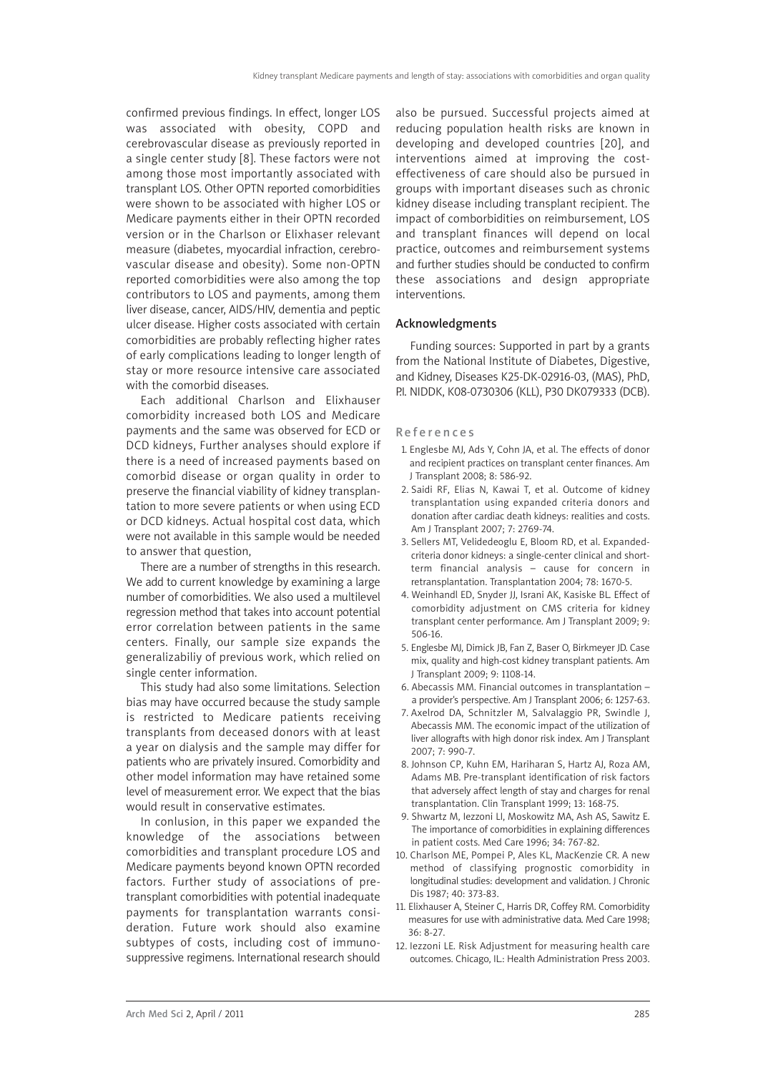confirmed previous findings. In effect, longer LOS was associated with obesity, COPD and cerebrovascular disease as previously reported in a single center study [8]. These factors were not among those most importantly associated with transplant LOS. Other OPTN reported comorbidities were shown to be associated with higher LOS or Medicare payments either in their OPTN recorded version or in the Charlson or Elixhaser relevant measure (diabetes, myocardial infraction, cerebro vascular disease and obesity). Some non-OPTN reported comorbidities were also among the top contributors to LOS and payments, among them liver disease, cancer, AIDS/HIV, dementia and peptic ulcer disease. Higher costs associated with certain comorbidities are probably reflecting higher rates of early complications leading to longer length of stay or more resource intensive care associated with the comorbid diseases.

Each additional Charlson and Elixhauser comorbidity increased both LOS and Medicare payments and the same was observed for ECD or DCD kidneys, Further analyses should explore if there is a need of increased payments based on comorbid disease or organ quality in order to preserve the financial viability of kidney transplantation to more severe patients or when using ECD or DCD kidneys. Actual hospital cost data, which were not available in this sample would be needed to answer that question,

There are a number of strengths in this research. We add to current knowledge by examining a large number of comorbidities. We also used a multilevel regression method that takes into account potential error correlation between patients in the same centers. Finally, our sample size expands the generalizabiliy of previous work, which relied on single center information.

This study had also some limitations. Selection bias may have occurred because the study sample is restricted to Medicare patients receiving transplants from deceased donors with at least a year on dialysis and the sample may differ for patients who are privately insured. Comorbidity and other model information may have retained some level of measurement error. We expect that the bias would result in conservative estimates.

In conlusion, in this paper we expanded the knowledge of the associations between comorbidities and transplant procedure LOS and Medicare payments beyond known OPTN recorded factors. Further study of associations of pretransplant comorbidities with potential inadequate payments for transplantation warrants consideration. Future work should also examine subtypes of costs, including cost of immunosuppressive regimens. International research should

also be pursued. Successful projects aimed at reducing population health risks are known in developing and developed countries [20], and interventions aimed at improving the costeffectiveness of care should also be pursued in groups with important diseases such as chronic kidney disease including transplant recipient. The impact of comborbidities on reimbursement, LOS and transplant finances will depend on local practice, outcomes and reimbursement systems and further studies should be conducted to confirm these associations and design appropriate interventions.

## Acknowledgments

Funding sources: Supported in part by a grants from the National Institute of Diabetes, Digestive, and Kidney, Diseases K25-DK-02916-03, (MAS), PhD, P.I. NIDDK, K08-0730306 (KLL), P30 DK079333 (DCB).

#### References

- 1. Englesbe MJ, Ads Y, Cohn JA, et al. The effects of donor and recipient practices on transplant center finances. Am J Transplant 2008; 8: 586-92.
- 2. Saidi RF, Elias N, Kawai T, et al. Outcome of kidney transplantation using expanded criteria donors and donation after cardiac death kidneys: realities and costs. Am J Transplant 2007; 7: 2769-74.
- 3. Sellers MT, Velidedeoglu E, Bloom RD, et al. Expandedcriteria donor kidneys: a single-center clinical and shortterm financial analysis – cause for concern in retransplantation. Transplantation 2004; 78: 1670-5.
- 4. Weinhandl ED, Snyder JJ, Israni AK, Kasiske BL. Effect of comorbidity adjustment on CMS criteria for kidney transplant center performance. Am J Transplant 2009; 9: 506-16.
- 5. Englesbe MJ, Dimick JB, Fan Z, Baser O, Birkmeyer JD. Case mix, quality and high-cost kidney transplant patients. Am J Transplant 2009; 9: 1108-14.
- 6. Abecassis MM. Financial outcomes in transplantation a provider's perspective. Am J Transplant 2006; 6: 1257-63.
- 7. Axelrod DA, Schnitzler M, Salvalaggio PR, Swindle J, Abecassis MM. The economic impact of the utilization of liver allografts with high donor risk index. Am J Transplant 2007; 7: 990-7.
- 8. Johnson CP, Kuhn EM, Hariharan S, Hartz AJ, Roza AM, Adams MB. Pre-transplant identification of risk factors that adversely affect length of stay and charges for renal transplantation. Clin Transplant 1999; 13: 168-75.
- 9. Shwartz M, Iezzoni LI, Moskowitz MA, Ash AS, Sawitz E. The importance of comorbidities in explaining differences in patient costs. Med Care 1996; 34: 767-82.
- 10. Charlson ME, Pompei P, Ales KL, MacKenzie CR. A new method of classifying prognostic comorbidity in longitudinal studies: development and validation. J Chronic Dis 1987; 40: 373-83.
- 11. Elixhauser A, Steiner C, Harris DR, Coffey RM. Comorbidity measures for use with administrative data. Med Care 1998; 36: 8-27.
- 12. Iezzoni LE. Risk Adjustment for measuring health care outcomes. Chicago, IL.: Health Administration Press 2003.